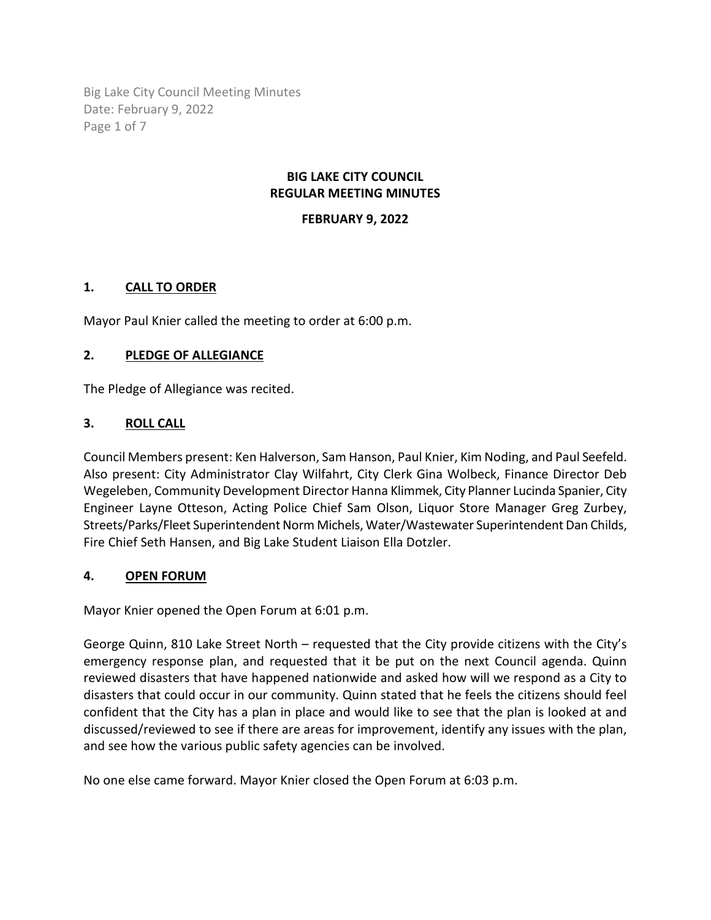Big Lake City Council Meeting Minutes Date: February 9, 2022 Page 1 of 7

## **BIG LAKE CITY COUNCIL REGULAR MEETING MINUTES**

## **FEBRUARY 9, 2022**

# **1. CALL TO ORDER**

Mayor Paul Knier called the meeting to order at 6:00 p.m.

## **2. PLEDGE OF ALLEGIANCE**

The Pledge of Allegiance was recited.

## **3. ROLL CALL**

Council Members present: Ken Halverson, Sam Hanson, Paul Knier, Kim Noding, and Paul Seefeld. Also present: City Administrator Clay Wilfahrt, City Clerk Gina Wolbeck, Finance Director Deb Wegeleben, Community Development Director Hanna Klimmek, City Planner Lucinda Spanier, City Engineer Layne Otteson, Acting Police Chief Sam Olson, Liquor Store Manager Greg Zurbey, Streets/Parks/Fleet Superintendent Norm Michels, Water/Wastewater Superintendent Dan Childs, Fire Chief Seth Hansen, and Big Lake Student Liaison Ella Dotzler.

#### **4. OPEN FORUM**

Mayor Knier opened the Open Forum at 6:01 p.m.

George Quinn, 810 Lake Street North – requested that the City provide citizens with the City's emergency response plan, and requested that it be put on the next Council agenda. Quinn reviewed disasters that have happened nationwide and asked how will we respond as a City to disasters that could occur in our community. Quinn stated that he feels the citizens should feel confident that the City has a plan in place and would like to see that the plan is looked at and discussed/reviewed to see if there are areas for improvement, identify any issues with the plan, and see how the various public safety agencies can be involved.

No one else came forward. Mayor Knier closed the Open Forum at 6:03 p.m.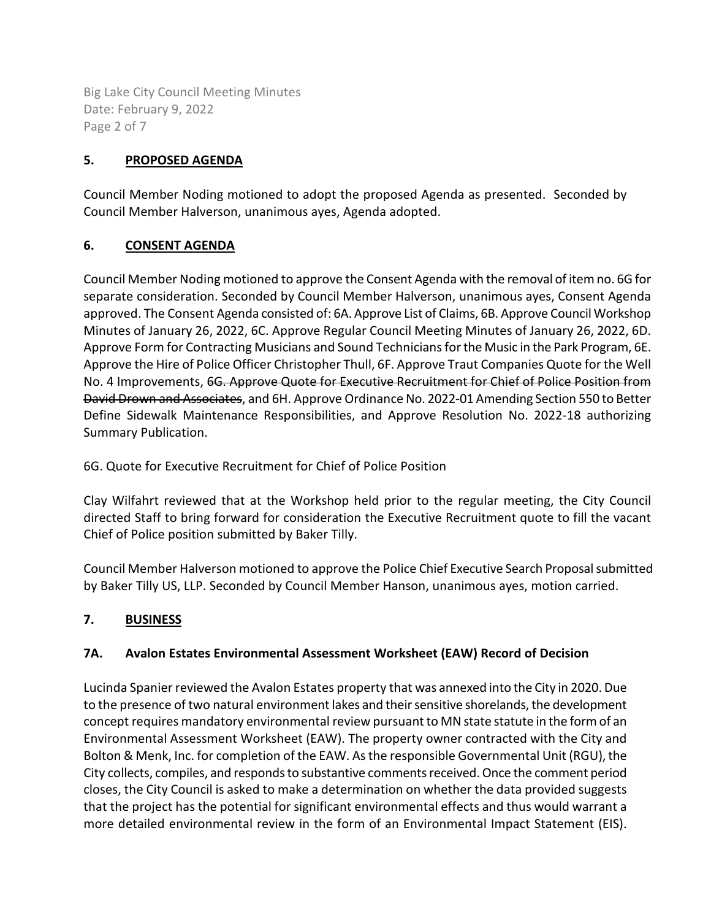Big Lake City Council Meeting Minutes Date: February 9, 2022 Page 2 of 7

# **5. PROPOSED AGENDA**

Council Member Noding motioned to adopt the proposed Agenda as presented. Seconded by Council Member Halverson, unanimous ayes, Agenda adopted.

# **6. CONSENT AGENDA**

Council Member Noding motioned to approve the Consent Agenda with the removal of item no. 6G for separate consideration. Seconded by Council Member Halverson, unanimous ayes, Consent Agenda approved. The Consent Agenda consisted of: 6A. Approve List of Claims, 6B. Approve Council Workshop Minutes of January 26, 2022, 6C. Approve Regular Council Meeting Minutes of January 26, 2022, 6D. Approve Form for Contracting Musicians and Sound Technicians for the Music in the Park Program, 6E. Approve the Hire of Police Officer Christopher Thull, 6F. Approve Traut Companies Quote for the Well No. 4 Improvements, 6G. Approve Quote for Executive Recruitment for Chief of Police Position from David Drown and Associates, and 6H. Approve Ordinance No. 2022-01 Amending Section 550 to Better Define Sidewalk Maintenance Responsibilities, and Approve Resolution No. 2022-18 authorizing Summary Publication.

6G. Quote for Executive Recruitment for Chief of Police Position

Clay Wilfahrt reviewed that at the Workshop held prior to the regular meeting, the City Council directed Staff to bring forward for consideration the Executive Recruitment quote to fill the vacant Chief of Police position submitted by Baker Tilly.

Council Member Halverson motioned to approve the Police Chief Executive Search Proposal submitted by Baker Tilly US, LLP. Seconded by Council Member Hanson, unanimous ayes, motion carried.

# **7. BUSINESS**

# **7A. Avalon Estates Environmental Assessment Worksheet (EAW) Record of Decision**

Lucinda Spanier reviewed the Avalon Estates property that was annexed into the City in 2020. Due to the presence of two natural environment lakes and their sensitive shorelands, the development concept requires mandatory environmental review pursuant to MN state statute in the form of an Environmental Assessment Worksheet (EAW). The property owner contracted with the City and Bolton & Menk, Inc. for completion of the EAW. As the responsible Governmental Unit (RGU), the City collects, compiles, and responds to substantive comments received. Once the comment period closes, the City Council is asked to make a determination on whether the data provided suggests that the project has the potential for significant environmental effects and thus would warrant a more detailed environmental review in the form of an Environmental Impact Statement (EIS).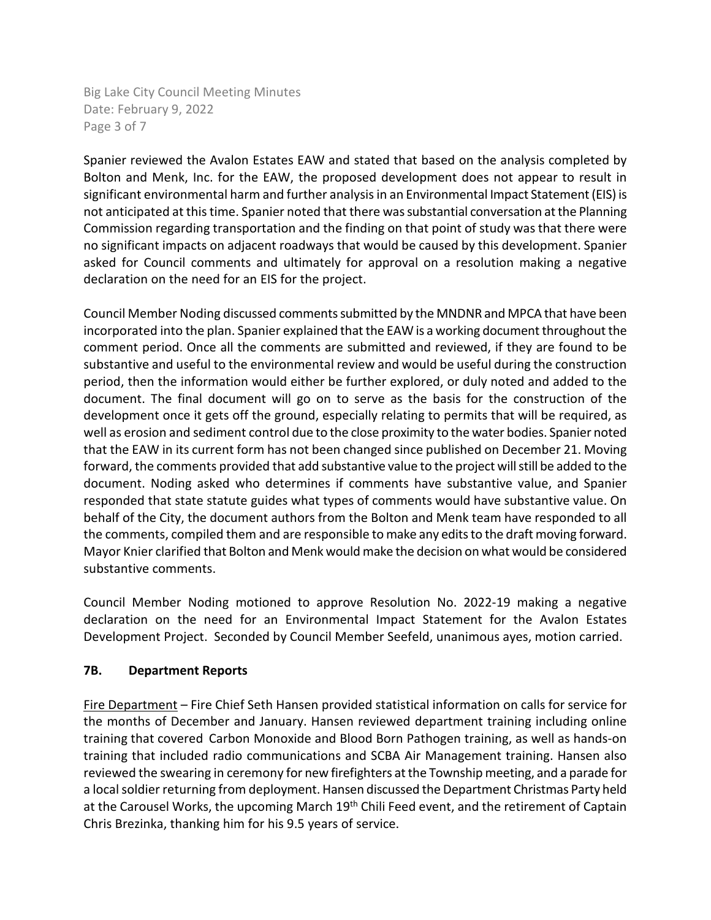Big Lake City Council Meeting Minutes Date: February 9, 2022 Page 3 of 7

Spanier reviewed the Avalon Estates EAW and stated that based on the analysis completed by Bolton and Menk, Inc. for the EAW, the proposed development does not appear to result in significant environmental harm and further analysis in an Environmental Impact Statement (EIS) is not anticipated at this time. Spanier noted that there was substantial conversation at the Planning Commission regarding transportation and the finding on that point of study was that there were no significant impacts on adjacent roadways that would be caused by this development. Spanier asked for Council comments and ultimately for approval on a resolution making a negative declaration on the need for an EIS for the project.

Council Member Noding discussed comments submitted by the MNDNR and MPCA that have been incorporated into the plan. Spanier explained that the EAW is a working document throughout the comment period. Once all the comments are submitted and reviewed, if they are found to be substantive and useful to the environmental review and would be useful during the construction period, then the information would either be further explored, or duly noted and added to the document. The final document will go on to serve as the basis for the construction of the development once it gets off the ground, especially relating to permits that will be required, as well as erosion and sediment control due to the close proximity to the water bodies. Spanier noted that the EAW in its current form has not been changed since published on December 21. Moving forward, the comments provided that add substantive value to the project will still be added to the document. Noding asked who determines if comments have substantive value, and Spanier responded that state statute guides what types of comments would have substantive value. On behalf of the City, the document authors from the Bolton and Menk team have responded to all the comments, compiled them and are responsible to make any edits to the draft moving forward. Mayor Knier clarified that Bolton and Menk would make the decision on what would be considered substantive comments.

Council Member Noding motioned to approve Resolution No. 2022-19 making a negative declaration on the need for an Environmental Impact Statement for the Avalon Estates Development Project. Seconded by Council Member Seefeld, unanimous ayes, motion carried.

# **7B. Department Reports**

Fire Department – Fire Chief Seth Hansen provided statistical information on calls for service for the months of December and January. Hansen reviewed department training including online training that covered Carbon Monoxide and Blood Born Pathogen training, as well as hands-on training that included radio communications and SCBA Air Management training. Hansen also reviewed the swearing in ceremony for new firefighters at the Township meeting, and a parade for a local soldier returning from deployment. Hansen discussed the Department Christmas Party held at the Carousel Works, the upcoming March 19<sup>th</sup> Chili Feed event, and the retirement of Captain Chris Brezinka, thanking him for his 9.5 years of service.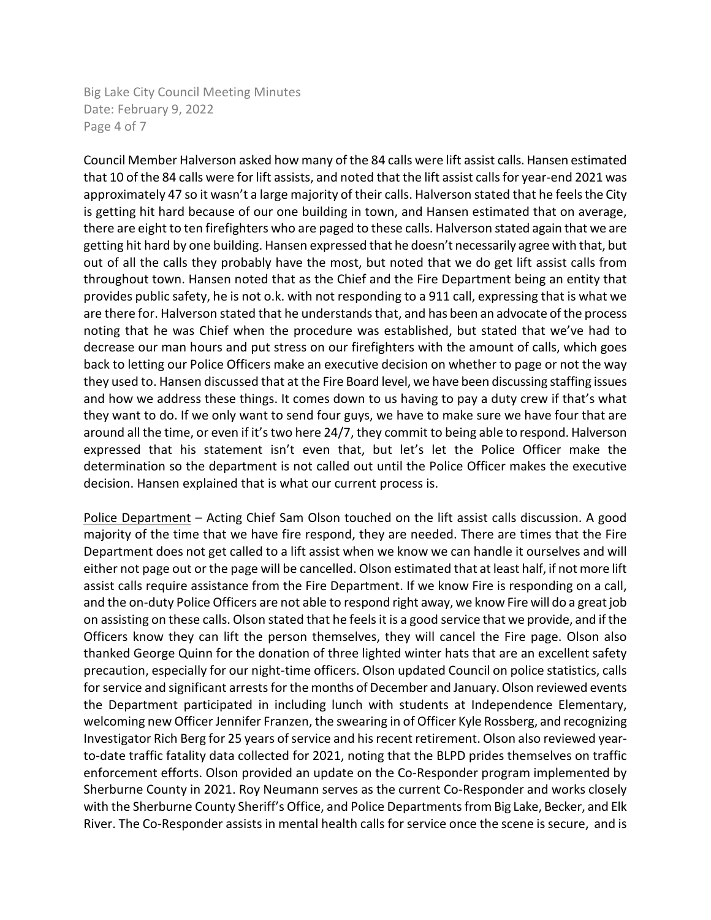Big Lake City Council Meeting Minutes Date: February 9, 2022 Page 4 of 7

Council Member Halverson asked how many of the 84 calls were lift assist calls. Hansen estimated that 10 of the 84 calls were for lift assists, and noted that the lift assist calls for year-end 2021 was approximately 47 so it wasn't a large majority of their calls. Halverson stated that he feels the City is getting hit hard because of our one building in town, and Hansen estimated that on average, there are eight to ten firefighters who are paged to these calls. Halverson stated again that we are getting hit hard by one building. Hansen expressed that he doesn't necessarily agree with that, but out of all the calls they probably have the most, but noted that we do get lift assist calls from throughout town. Hansen noted that as the Chief and the Fire Department being an entity that provides public safety, he is not o.k. with not responding to a 911 call, expressing that is what we are there for. Halverson stated that he understands that, and has been an advocate of the process noting that he was Chief when the procedure was established, but stated that we've had to decrease our man hours and put stress on our firefighters with the amount of calls, which goes back to letting our Police Officers make an executive decision on whether to page or not the way they used to. Hansen discussed that at the Fire Board level, we have been discussing staffing issues and how we address these things. It comes down to us having to pay a duty crew if that's what they want to do. If we only want to send four guys, we have to make sure we have four that are around all the time, or even if it's two here 24/7, they commit to being able to respond. Halverson expressed that his statement isn't even that, but let's let the Police Officer make the determination so the department is not called out until the Police Officer makes the executive decision. Hansen explained that is what our current process is.

Police Department - Acting Chief Sam Olson touched on the lift assist calls discussion. A good majority of the time that we have fire respond, they are needed. There are times that the Fire Department does not get called to a lift assist when we know we can handle it ourselves and will either not page out or the page will be cancelled. Olson estimated that at least half, if not more lift assist calls require assistance from the Fire Department. If we know Fire is responding on a call, and the on-duty Police Officers are not able to respond right away, we know Fire will do a great job on assisting on these calls. Olson stated that he feels it is a good service that we provide, and if the Officers know they can lift the person themselves, they will cancel the Fire page. Olson also thanked George Quinn for the donation of three lighted winter hats that are an excellent safety precaution, especially for our night-time officers. Olson updated Council on police statistics, calls for service and significant arrests for the months of December and January. Olson reviewed events the Department participated in including lunch with students at Independence Elementary, welcoming new Officer Jennifer Franzen, the swearing in of Officer Kyle Rossberg, and recognizing Investigator Rich Berg for 25 years of service and his recent retirement. Olson also reviewed yearto-date traffic fatality data collected for 2021, noting that the BLPD prides themselves on traffic enforcement efforts. Olson provided an update on the Co-Responder program implemented by Sherburne County in 2021. Roy Neumann serves as the current Co-Responder and works closely with the Sherburne County Sheriff's Office, and Police Departments from Big Lake, Becker, and Elk River. The Co-Responder assists in mental health calls for service once the scene is secure, and is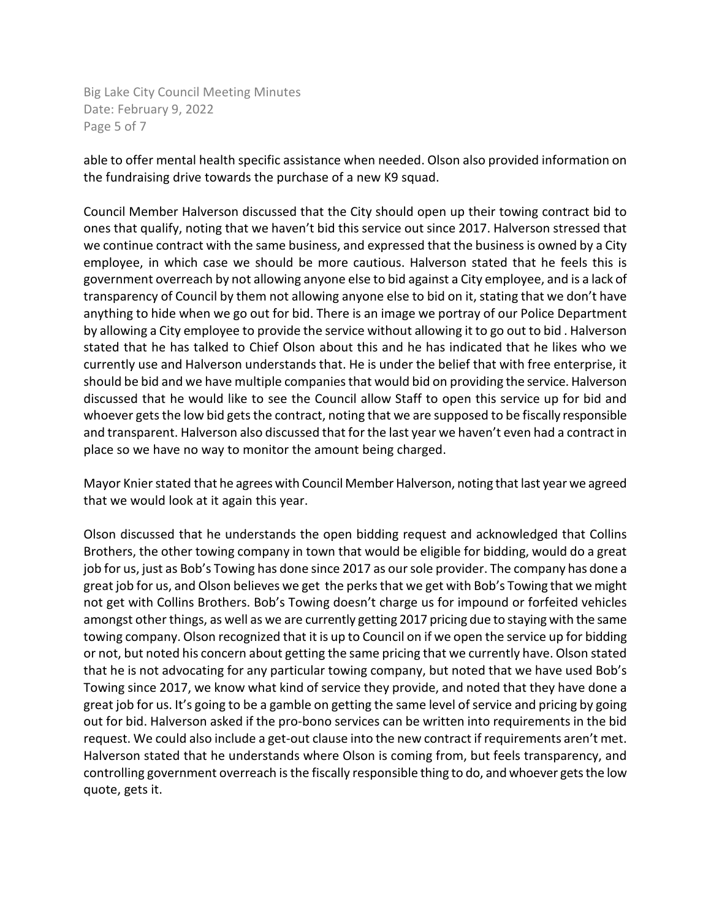Big Lake City Council Meeting Minutes Date: February 9, 2022 Page 5 of 7

able to offer mental health specific assistance when needed. Olson also provided information on the fundraising drive towards the purchase of a new K9 squad.

Council Member Halverson discussed that the City should open up their towing contract bid to ones that qualify, noting that we haven't bid this service out since 2017. Halverson stressed that we continue contract with the same business, and expressed that the business is owned by a City employee, in which case we should be more cautious. Halverson stated that he feels this is government overreach by not allowing anyone else to bid against a City employee, and is a lack of transparency of Council by them not allowing anyone else to bid on it, stating that we don't have anything to hide when we go out for bid. There is an image we portray of our Police Department by allowing a City employee to provide the service without allowing it to go out to bid . Halverson stated that he has talked to Chief Olson about this and he has indicated that he likes who we currently use and Halverson understands that. He is under the belief that with free enterprise, it should be bid and we have multiple companies that would bid on providing the service. Halverson discussed that he would like to see the Council allow Staff to open this service up for bid and whoever gets the low bid gets the contract, noting that we are supposed to be fiscally responsible and transparent. Halverson also discussed that for the last year we haven't even had a contract in place so we have no way to monitor the amount being charged.

Mayor Knier stated that he agrees with Council Member Halverson, noting that last year we agreed that we would look at it again this year.

Olson discussed that he understands the open bidding request and acknowledged that Collins Brothers, the other towing company in town that would be eligible for bidding, would do a great job for us, just as Bob's Towing has done since 2017 as our sole provider. The company has done a great job for us, and Olson believes we get the perks that we get with Bob's Towing that we might not get with Collins Brothers. Bob's Towing doesn't charge us for impound or forfeited vehicles amongst other things, as well as we are currently getting 2017 pricing due to staying with the same towing company. Olson recognized that it is up to Council on if we open the service up for bidding or not, but noted his concern about getting the same pricing that we currently have. Olson stated that he is not advocating for any particular towing company, but noted that we have used Bob's Towing since 2017, we know what kind of service they provide, and noted that they have done a great job for us. It's going to be a gamble on getting the same level of service and pricing by going out for bid. Halverson asked if the pro-bono services can be written into requirements in the bid request. We could also include a get-out clause into the new contract if requirements aren't met. Halverson stated that he understands where Olson is coming from, but feels transparency, and controlling government overreach is the fiscally responsible thing to do, and whoever gets the low quote, gets it.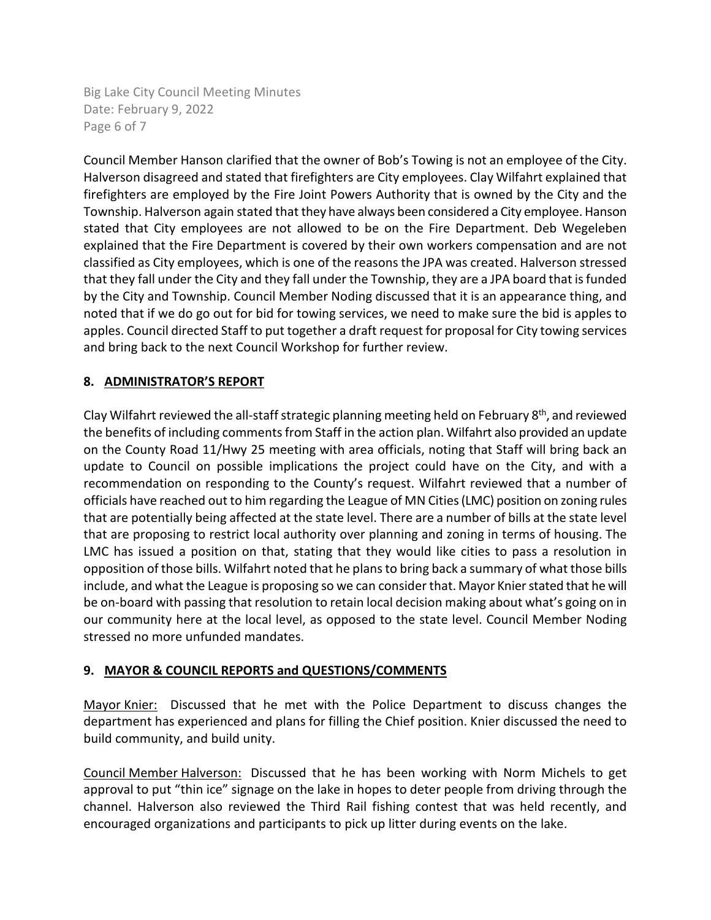Big Lake City Council Meeting Minutes Date: February 9, 2022 Page 6 of 7

Council Member Hanson clarified that the owner of Bob's Towing is not an employee of the City. Halverson disagreed and stated that firefighters are City employees. Clay Wilfahrt explained that firefighters are employed by the Fire Joint Powers Authority that is owned by the City and the Township. Halverson again stated that they have always been considered a City employee. Hanson stated that City employees are not allowed to be on the Fire Department. Deb Wegeleben explained that the Fire Department is covered by their own workers compensation and are not classified as City employees, which is one of the reasons the JPA was created. Halverson stressed that they fall under the City and they fall under the Township, they are a JPA board that is funded by the City and Township. Council Member Noding discussed that it is an appearance thing, and noted that if we do go out for bid for towing services, we need to make sure the bid is apples to apples. Council directed Staff to put together a draft request for proposal for City towing services and bring back to the next Council Workshop for further review.

# **8. ADMINISTRATOR'S REPORT**

Clay Wilfahrt reviewed the all-staff strategic planning meeting held on February 8<sup>th</sup>, and reviewed the benefits of including comments from Staff in the action plan. Wilfahrt also provided an update on the County Road 11/Hwy 25 meeting with area officials, noting that Staff will bring back an update to Council on possible implications the project could have on the City, and with a recommendation on responding to the County's request. Wilfahrt reviewed that a number of officials have reached out to him regarding the League of MN Cities (LMC) position on zoning rules that are potentially being affected at the state level. There are a number of bills at the state level that are proposing to restrict local authority over planning and zoning in terms of housing. The LMC has issued a position on that, stating that they would like cities to pass a resolution in opposition of those bills. Wilfahrt noted that he plans to bring back a summary of what those bills include, and what the League is proposing so we can consider that. Mayor Knierstated that he will be on-board with passing that resolution to retain local decision making about what's going on in our community here at the local level, as opposed to the state level. Council Member Noding stressed no more unfunded mandates.

# **9. MAYOR & COUNCIL REPORTS and QUESTIONS/COMMENTS**

Mayor Knier: Discussed that he met with the Police Department to discuss changes the department has experienced and plans for filling the Chief position. Knier discussed the need to build community, and build unity.

Council Member Halverson: Discussed that he has been working with Norm Michels to get approval to put "thin ice" signage on the lake in hopes to deter people from driving through the channel. Halverson also reviewed the Third Rail fishing contest that was held recently, and encouraged organizations and participants to pick up litter during events on the lake.